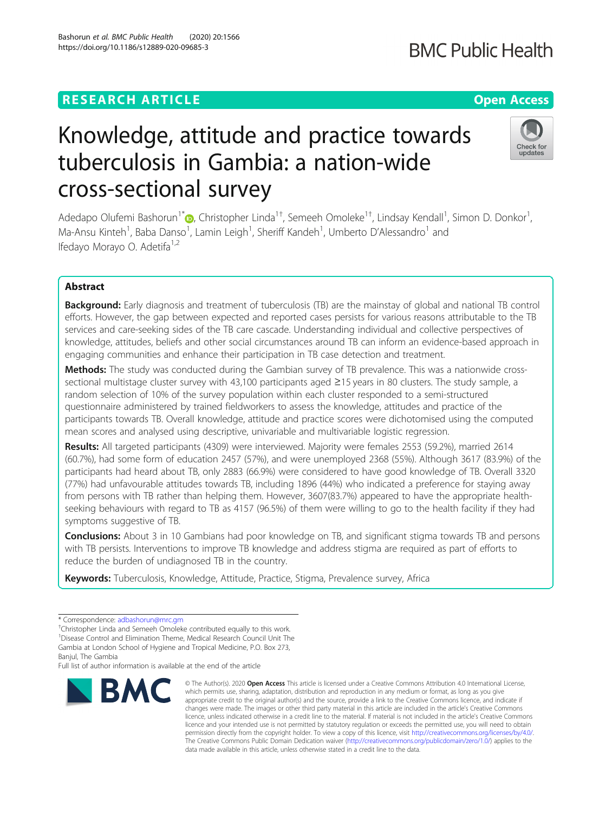## **RESEARCH ARTICLE Example 2014 12:30 The Contract of Contract ACCESS**

# Knowledge, attitude and practice towards tuberculosis in Gambia: a nation-wide cross-sectional survey

Adedapo Olufemi Bashorun<sup>1\*</sup> D[,](http://orcid.org/0000-0002-0532-3648) Christopher Linda<sup>1†</sup>, Semeeh Omoleke<sup>1†</sup>, Lindsay Kendall<sup>1</sup>, Simon D. Donkor<sup>1</sup> , Ma-Ansu Kinteh<sup>1</sup>, Baba Danso<sup>1</sup>, Lamin Leigh<sup>1</sup>, Sheriff Kandeh<sup>1</sup>, Umberto D'Alessandro<sup>1</sup> and Ifedayo Morayo O. Adetifa<sup>1,2</sup>

### Abstract

**Background:** Early diagnosis and treatment of tuberculosis (TB) are the mainstay of global and national TB control efforts. However, the gap between expected and reported cases persists for various reasons attributable to the TB services and care-seeking sides of the TB care cascade. Understanding individual and collective perspectives of knowledge, attitudes, beliefs and other social circumstances around TB can inform an evidence-based approach in engaging communities and enhance their participation in TB case detection and treatment.

Methods: The study was conducted during the Gambian survey of TB prevalence. This was a nationwide crosssectional multistage cluster survey with 43,100 participants aged ≥15 years in 80 clusters. The study sample, a random selection of 10% of the survey population within each cluster responded to a semi-structured questionnaire administered by trained fieldworkers to assess the knowledge, attitudes and practice of the participants towards TB. Overall knowledge, attitude and practice scores were dichotomised using the computed mean scores and analysed using descriptive, univariable and multivariable logistic regression.

Results: All targeted participants (4309) were interviewed. Majority were females 2553 (59.2%), married 2614 (60.7%), had some form of education 2457 (57%), and were unemployed 2368 (55%). Although 3617 (83.9%) of the participants had heard about TB, only 2883 (66.9%) were considered to have good knowledge of TB. Overall 3320 (77%) had unfavourable attitudes towards TB, including 1896 (44%) who indicated a preference for staying away from persons with TB rather than helping them. However, 3607(83.7%) appeared to have the appropriate healthseeking behaviours with regard to TB as 4157 (96.5%) of them were willing to go to the health facility if they had symptoms suggestive of TB.

**Conclusions:** About 3 in 10 Gambians had poor knowledge on TB, and significant stigma towards TB and persons with TB persists. Interventions to improve TB knowledge and address stigma are required as part of efforts to reduce the burden of undiagnosed TB in the country.

Keywords: Tuberculosis, Knowledge, Attitude, Practice, Stigma, Prevalence survey, Africa

Full list of author information is available at the end of the article

which permits use, sharing, adaptation, distribution and reproduction in any medium or format, as long as you give appropriate credit to the original author(s) and the source, provide a link to the Creative Commons licence, and indicate if changes were made. The images or other third party material in this article are included in the article's Creative Commons licence, unless indicated otherwise in a credit line to the material. If material is not included in the article's Creative Commons licence and your intended use is not permitted by statutory regulation or exceeds the permitted use, you will need to obtain permission directly from the copyright holder. To view a copy of this licence, visit [http://creativecommons.org/licenses/by/4.0/.](http://creativecommons.org/licenses/by/4.0/) The Creative Commons Public Domain Dedication waiver [\(http://creativecommons.org/publicdomain/zero/1.0/](http://creativecommons.org/publicdomain/zero/1.0/)) applies to the data made available in this article, unless otherwise stated in a credit line to the data.

© The Author(s), 2020 **Open Access** This article is licensed under a Creative Commons Attribution 4.0 International License,





<sup>\*</sup> Correspondence: [adbashorun@mrc.gm](mailto:adbashorun@mrc.gm) †

<sup>&</sup>lt;sup>†</sup>Christopher Linda and Semeeh Omoleke contributed equally to this work.

<sup>&</sup>lt;sup>1</sup>Disease Control and Elimination Theme, Medical Research Council Unit The Gambia at London School of Hygiene and Tropical Medicine, P.O. Box 273,

Banjul, The Gambia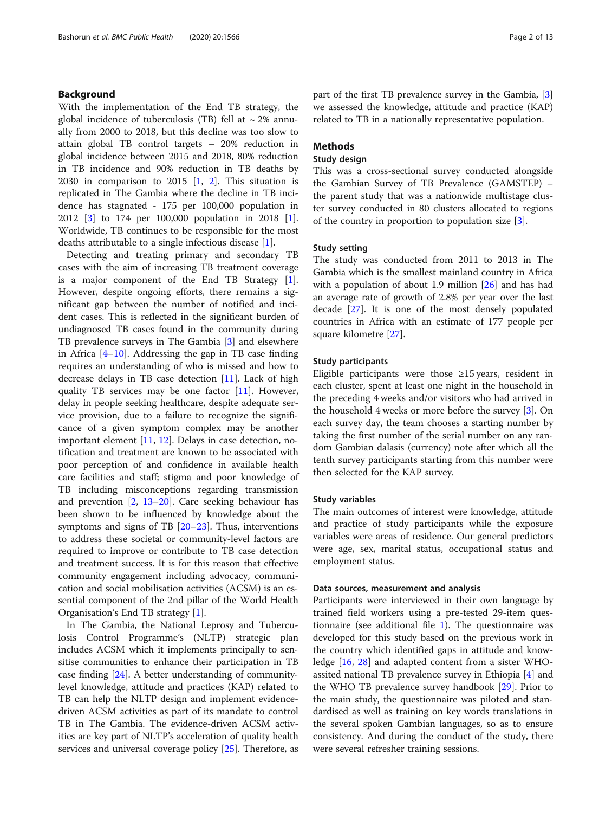#### Background

With the implementation of the End TB strategy, the global incidence of tuberculosis (TB) fell at  $\sim$  2% annually from 2000 to 2018, but this decline was too slow to attain global TB control targets – 20% reduction in global incidence between 2015 and 2018, 80% reduction in TB incidence and 90% reduction in TB deaths by 2030 in comparison to 2015  $\begin{bmatrix} 1 \\ 2 \end{bmatrix}$ . This situation is replicated in The Gambia where the decline in TB incidence has stagnated - 175 per 100,000 population in 2012 [\[3\]](#page-11-0) to 174 per 100,000 population in 2018 [\[1](#page-11-0)]. Worldwide, TB continues to be responsible for the most deaths attributable to a single infectious disease [[1\]](#page-11-0).

Detecting and treating primary and secondary TB cases with the aim of increasing TB treatment coverage is a major component of the End TB Strategy [\[1](#page-11-0)]. However, despite ongoing efforts, there remains a significant gap between the number of notified and incident cases. This is reflected in the significant burden of undiagnosed TB cases found in the community during TB prevalence surveys in The Gambia [\[3](#page-11-0)] and elsewhere in Africa [[4](#page-11-0)–[10\]](#page-11-0). Addressing the gap in TB case finding requires an understanding of who is missed and how to decrease delays in TB case detection  $[11]$  $[11]$ . Lack of high quality TB services may be one factor [[11\]](#page-11-0). However, delay in people seeking healthcare, despite adequate service provision, due to a failure to recognize the significance of a given symptom complex may be another important element [\[11](#page-11-0), [12](#page-11-0)]. Delays in case detection, notification and treatment are known to be associated with poor perception of and confidence in available health care facilities and staff; stigma and poor knowledge of TB including misconceptions regarding transmission and prevention [[2](#page-11-0), [13](#page-11-0)–[20\]](#page-11-0). Care seeking behaviour has been shown to be influenced by knowledge about the symptoms and signs of TB [[20](#page-11-0)–[23](#page-11-0)]. Thus, interventions to address these societal or community-level factors are required to improve or contribute to TB case detection and treatment success. It is for this reason that effective community engagement including advocacy, communication and social mobilisation activities (ACSM) is an essential component of the 2nd pillar of the World Health Organisation's End TB strategy [\[1](#page-11-0)].

In The Gambia, the National Leprosy and Tuberculosis Control Programme's (NLTP) strategic plan includes ACSM which it implements principally to sensitise communities to enhance their participation in TB case finding [[24\]](#page-11-0). A better understanding of communitylevel knowledge, attitude and practices (KAP) related to TB can help the NLTP design and implement evidencedriven ACSM activities as part of its mandate to control TB in The Gambia. The evidence-driven ACSM activities are key part of NLTP's acceleration of quality health services and universal coverage policy [\[25](#page-11-0)]. Therefore, as part of the first TB prevalence survey in the Gambia, [\[3](#page-11-0)] we assessed the knowledge, attitude and practice (KAP) related to TB in a nationally representative population.

#### **Methods**

#### Study design

This was a cross-sectional survey conducted alongside the Gambian Survey of TB Prevalence (GAMSTEP) – the parent study that was a nationwide multistage cluster survey conducted in 80 clusters allocated to regions of the country in proportion to population size [\[3](#page-11-0)].

#### Study setting

The study was conducted from 2011 to 2013 in The Gambia which is the smallest mainland country in Africa with a population of about 1.9 million [\[26](#page-11-0)] and has had an average rate of growth of 2.8% per year over the last decade [\[27](#page-11-0)]. It is one of the most densely populated countries in Africa with an estimate of 177 people per square kilometre [[27](#page-11-0)].

#### Study participants

Eligible participants were those  $\geq 15$  years, resident in each cluster, spent at least one night in the household in the preceding 4 weeks and/or visitors who had arrived in the household 4 weeks or more before the survey [\[3](#page-11-0)]. On each survey day, the team chooses a starting number by taking the first number of the serial number on any random Gambian dalasis (currency) note after which all the tenth survey participants starting from this number were then selected for the KAP survey.

#### Study variables

The main outcomes of interest were knowledge, attitude and practice of study participants while the exposure variables were areas of residence. Our general predictors were age, sex, marital status, occupational status and employment status.

#### Data sources, measurement and analysis

Participants were interviewed in their own language by trained field workers using a pre-tested 29-item questionnaire (see additional file [1](#page-10-0)). The questionnaire was developed for this study based on the previous work in the country which identified gaps in attitude and knowledge [[16,](#page-11-0) [28](#page-11-0)] and adapted content from a sister WHOassited national TB prevalence survey in Ethiopia [[4](#page-11-0)] and the WHO TB prevalence survey handbook [\[29\]](#page-11-0). Prior to the main study, the questionnaire was piloted and standardised as well as training on key words translations in the several spoken Gambian languages, so as to ensure consistency. And during the conduct of the study, there were several refresher training sessions.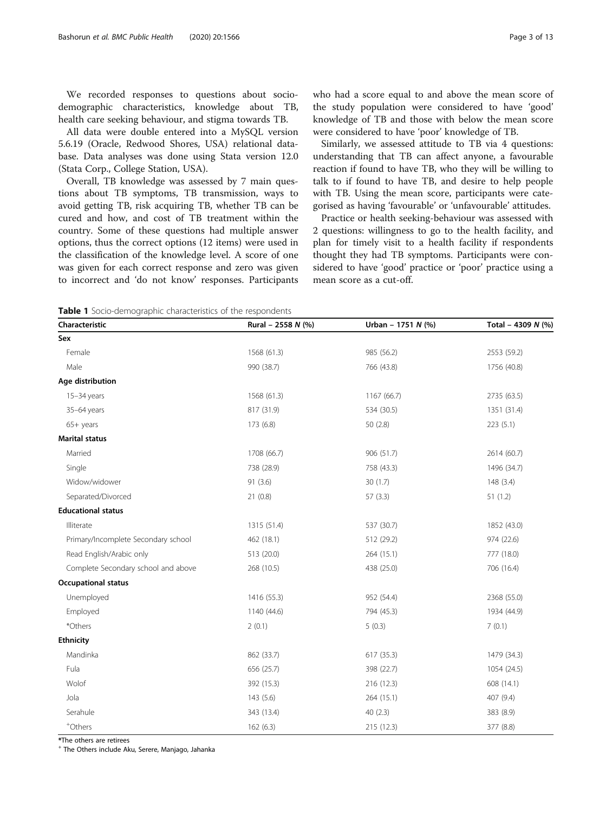<span id="page-2-0"></span>We recorded responses to questions about sociodemographic characteristics, knowledge about TB, health care seeking behaviour, and stigma towards TB.

All data were double entered into a MySQL version 5.6.19 (Oracle, Redwood Shores, USA) relational database. Data analyses was done using Stata version 12.0 (Stata Corp., College Station, USA).

Overall, TB knowledge was assessed by 7 main questions about TB symptoms, TB transmission, ways to avoid getting TB, risk acquiring TB, whether TB can be cured and how, and cost of TB treatment within the country. Some of these questions had multiple answer options, thus the correct options (12 items) were used in the classification of the knowledge level. A score of one was given for each correct response and zero was given to incorrect and 'do not know' responses. Participants who had a score equal to and above the mean score of the study population were considered to have 'good' knowledge of TB and those with below the mean score were considered to have 'poor' knowledge of TB.

Similarly, we assessed attitude to TB via 4 questions: understanding that TB can affect anyone, a favourable reaction if found to have TB, who they will be willing to talk to if found to have TB, and desire to help people with TB. Using the mean score, participants were categorised as having 'favourable' or 'unfavourable' attitudes.

Practice or health seeking-behaviour was assessed with 2 questions: willingness to go to the health facility, and plan for timely visit to a health facility if respondents thought they had TB symptoms. Participants were considered to have 'good' practice or 'poor' practice using a mean score as a cut-off.

Table 1 Socio-demographic characteristics of the respondents

| Characteristic                      | Rural - 2558 N (%) | Urban - 1751 N (%) | Total - 4309 N (%) |
|-------------------------------------|--------------------|--------------------|--------------------|
| Sex                                 |                    |                    |                    |
| Female                              | 1568 (61.3)        | 985 (56.2)         | 2553 (59.2)        |
| Male                                | 990 (38.7)         | 766 (43.8)         | 1756 (40.8)        |
| Age distribution                    |                    |                    |                    |
| $15 - 34$ years                     | 1568 (61.3)        | 1167 (66.7)        | 2735 (63.5)        |
| 35-64 years                         | 817 (31.9)         | 534 (30.5)         | 1351 (31.4)        |
| $65+$ years                         | 173(6.8)           | 50(2.8)            | 223(5.1)           |
| <b>Marital status</b>               |                    |                    |                    |
| Married                             | 1708 (66.7)        | 906 (51.7)         | 2614 (60.7)        |
| Single                              | 738 (28.9)         | 758 (43.3)         | 1496 (34.7)        |
| Widow/widower                       | 91(3.6)            | 30(1.7)            | 148(3.4)           |
| Separated/Divorced                  | 21(0.8)            | 57(3.3)            | 51(1.2)            |
| <b>Educational status</b>           |                    |                    |                    |
| Illiterate                          | 1315 (51.4)        | 537 (30.7)         | 1852 (43.0)        |
| Primary/Incomplete Secondary school | 462 (18.1)         | 512 (29.2)         | 974 (22.6)         |
| Read English/Arabic only            | 513 (20.0)         | 264(15.1)          | 777 (18.0)         |
| Complete Secondary school and above | 268 (10.5)         | 438 (25.0)         | 706 (16.4)         |
| <b>Occupational status</b>          |                    |                    |                    |
| Unemployed                          | 1416 (55.3)        | 952 (54.4)         | 2368 (55.0)        |
| Employed                            | 1140 (44.6)        | 794 (45.3)         | 1934 (44.9)        |
| *Others                             | 2(0.1)             | 5(0.3)             | 7(0.1)             |
| <b>Ethnicity</b>                    |                    |                    |                    |
| Mandinka                            | 862 (33.7)         | 617(35.3)          | 1479 (34.3)        |
| Fula                                | 656 (25.7)         | 398 (22.7)         | 1054 (24.5)        |
| Wolof                               | 392 (15.3)         | 216 (12.3)         | 608 (14.1)         |
| Jola                                | 143 (5.6)          | 264 (15.1)         | 407 (9.4)          |
| Serahule                            | 343 (13.4)         | 40(2.3)            | 383 (8.9)          |
| <sup>+</sup> Others                 | 162(6.3)           | 215 (12.3)         | 377 (8.8)          |

\*The others are retirees

<sup>+</sup> The Others include Aku, Serere, Manjago, Jahanka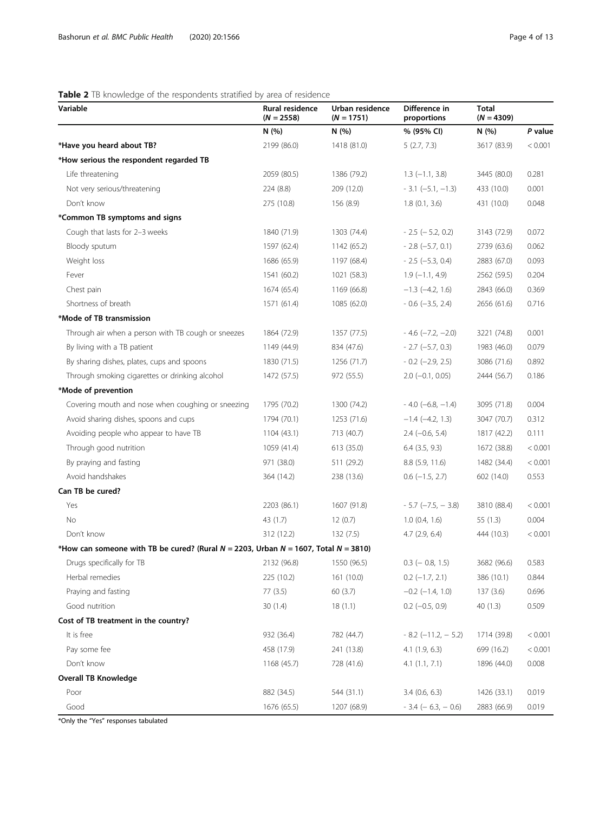#### <span id="page-3-0"></span>Table 2 TB knowledge of the respondents stratified by area of residence

| Variable                                                                                     | Rural residence<br>$(N = 2558)$ | Urban residence<br>$(N = 1751)$ | Difference in<br>proportions | Total<br>$(N = 4309)$ |         |
|----------------------------------------------------------------------------------------------|---------------------------------|---------------------------------|------------------------------|-----------------------|---------|
|                                                                                              | N (%)                           | N(%)                            | % (95% CI)                   | N (%)                 | P value |
| *Have you heard about TB?                                                                    | 2199 (86.0)                     | 1418 (81.0)                     | 5(2.7, 7.3)                  | 3617 (83.9)           | < 0.001 |
| *How serious the respondent regarded TB                                                      |                                 |                                 |                              |                       |         |
| Life threatening                                                                             | 2059 (80.5)                     | 1386 (79.2)                     | $1.3$ (-1.1, 3.8)            | 3445 (80.0)           | 0.281   |
| Not very serious/threatening                                                                 | 224 (8.8)                       | 209 (12.0)                      | $-3.1$ $(-5.1, -1.3)$        | 433 (10.0)            | 0.001   |
| Don't know                                                                                   | 275 (10.8)                      | 156 (8.9)                       | 1.8(0.1, 3.6)                | 431 (10.0)            | 0.048   |
| *Common TB symptoms and signs                                                                |                                 |                                 |                              |                       |         |
| Cough that lasts for 2-3 weeks                                                               | 1840 (71.9)                     | 1303 (74.4)                     | $-2.5$ ( $-5.2$ , 0.2)       | 3143 (72.9)           | 0.072   |
| Bloody sputum                                                                                | 1597 (62.4)                     | 1142 (65.2)                     | $-2.8$ ( $-5.7$ , 0.1)       | 2739 (63.6)           | 0.062   |
| Weight loss                                                                                  | 1686 (65.9)                     | 1197 (68.4)                     | $-2.5$ ( $-5.3$ , 0.4)       | 2883 (67.0)           | 0.093   |
| Fever                                                                                        | 1541 (60.2)                     | 1021 (58.3)                     | $1.9(-1.1, 4.9)$             | 2562 (59.5)           | 0.204   |
| Chest pain                                                                                   | 1674 (65.4)                     | 1169 (66.8)                     | $-1.3$ ( $-4.2$ , 1.6)       | 2843 (66.0)           | 0.369   |
| Shortness of breath                                                                          | 1571 (61.4)                     | 1085 (62.0)                     | $-0.6$ ( $-3.5$ , 2.4)       | 2656 (61.6)           | 0.716   |
| *Mode of TB transmission                                                                     |                                 |                                 |                              |                       |         |
| Through air when a person with TB cough or sneezes                                           | 1864 (72.9)                     | 1357 (77.5)                     | $-4.6$ ( $-7.2$ , $-2.0$ )   | 3221 (74.8)           | 0.001   |
| By living with a TB patient                                                                  | 1149 (44.9)                     | 834 (47.6)                      | $-2.7$ ( $-5.7$ , 0.3)       | 1983 (46.0)           | 0.079   |
| By sharing dishes, plates, cups and spoons                                                   | 1830 (71.5)                     | 1256 (71.7)                     | $-0.2$ ( $-2.9$ , 2.5)       | 3086 (71.6)           | 0.892   |
| Through smoking cigarettes or drinking alcohol                                               | 1472 (57.5)                     | 972 (55.5)                      | $2.0$ (-0.1, 0.05)           | 2444 (56.7)           | 0.186   |
| *Mode of prevention                                                                          |                                 |                                 |                              |                       |         |
| Covering mouth and nose when coughing or sneezing                                            | 1795 (70.2)                     | 1300 (74.2)                     | $-4.0$ (-6.8, -1.4)          | 3095 (71.8)           | 0.004   |
| Avoid sharing dishes, spoons and cups                                                        | 1794 (70.1)                     | 1253 (71.6)                     | $-1.4$ ( $-4.2$ , 1.3)       | 3047 (70.7)           | 0.312   |
| Avoiding people who appear to have TB                                                        | 1104(43.1)                      | 713 (40.7)                      | $2.4 (-0.6, 5.4)$            | 1817 (42.2)           | 0.111   |
| Through good nutrition                                                                       | 1059 (41.4)                     | 613 (35.0)                      | $6.4$ $(3.5, 9.3)$           | 1672 (38.8)           | < 0.001 |
| By praying and fasting                                                                       | 971 (38.0)                      | 511 (29.2)                      | $8.8$ (5.9, 11.6)            | 1482 (34.4)           | < 0.001 |
| Avoid handshakes                                                                             | 364 (14.2)                      | 238 (13.6)                      | $0.6$ ( $-1.5$ , 2.7)        | 602 (14.0)            | 0.553   |
| Can TB be cured?                                                                             |                                 |                                 |                              |                       |         |
| Yes                                                                                          | 2203 (86.1)                     | 1607 (91.8)                     | $-5.7$ ( $-7.5$ , $-3.8$ )   | 3810 (88.4)           | < 0.001 |
| No                                                                                           | 43 (1.7)                        | 12(0.7)                         | $1.0$ (0.4, 1.6)             | 55(1.3)               | 0.004   |
| Don't know                                                                                   | 312 (12.2)                      | 132(7.5)                        | $4.7$ (2.9, 6.4)             | 444 (10.3)            | < 0.001 |
| *How can someone with TB be cured? (Rural $N = 2203$ , Urban $N = 1607$ , Total $N = 3810$ ) |                                 |                                 |                              |                       |         |
| Drugs specifically for TB                                                                    | 2132 (96.8)                     | 1550 (96.5)                     | $0.3$ (- 0.8, 1.5)           | 3682 (96.6)           | 0.583   |
| Herbal remedies                                                                              | 225 (10.2)                      | 161 (10.0)                      | $0.2$ (-1.7, 2.1)            | 386 (10.1)            | 0.844   |
| Praying and fasting                                                                          | 77(3.5)                         | 60(3.7)                         | $-0.2$ ( $-1.4$ , 1.0)       | 137 (3.6)             | 0.696   |
| Good nutrition                                                                               | 30(1.4)                         | 18(1.1)                         | $0.2$ (-0.5, 0.9)            | 40(1.3)               | 0.509   |
| Cost of TB treatment in the country?                                                         |                                 |                                 |                              |                       |         |
| It is free                                                                                   | 932 (36.4)                      | 782 (44.7)                      | $-8.2$ ( $-11.2$ , $-5.2$ )  | 1714 (39.8)           | < 0.001 |
| Pay some fee                                                                                 | 458 (17.9)                      | 241 (13.8)                      | $4.1$ $(1.9, 6.3)$           | 699 (16.2)            | < 0.001 |
| Don't know                                                                                   | 1168 (45.7)                     | 728 (41.6)                      | 4.1(1.1, 7.1)                | 1896 (44.0)           | 0.008   |
| <b>Overall TB Knowledge</b>                                                                  |                                 |                                 |                              |                       |         |
| Poor                                                                                         | 882 (34.5)                      | 544 (31.1)                      | $3.4$ (0.6, 6.3)             | 1426 (33.1)           | 0.019   |
| Good                                                                                         | 1676 (65.5)                     | 1207 (68.9)                     | $-3.4$ ( $-6.3$ , $-0.6$ )   | 2883 (66.9)           | 0.019   |

\*Only the "Yes" responses tabulated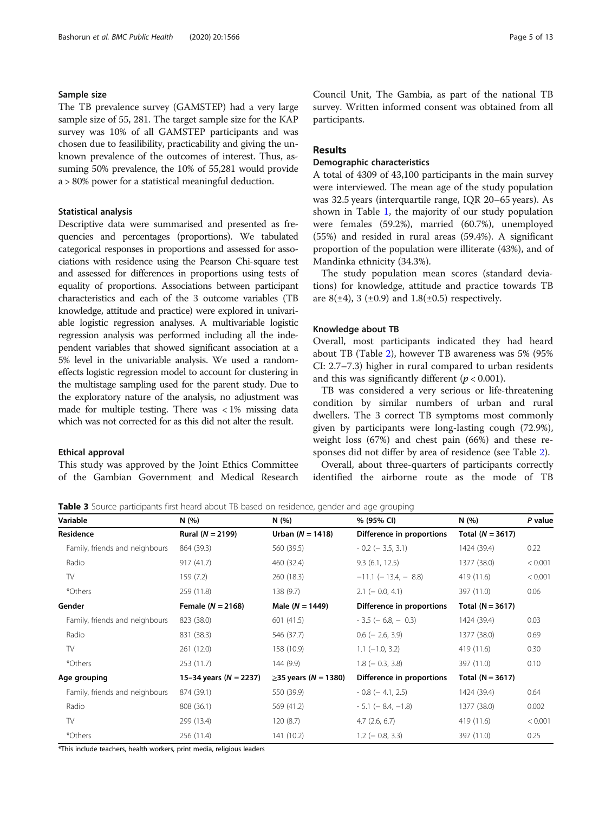#### <span id="page-4-0"></span>Sample size

The TB prevalence survey (GAMSTEP) had a very large sample size of 55, 281. The target sample size for the KAP survey was 10% of all GAMSTEP participants and was chosen due to feasilibility, practicability and giving the unknown prevalence of the outcomes of interest. Thus, assuming 50% prevalence, the 10% of 55,281 would provide a > 80% power for a statistical meaningful deduction.

#### Statistical analysis

Descriptive data were summarised and presented as frequencies and percentages (proportions). We tabulated categorical responses in proportions and assessed for associations with residence using the Pearson Chi-square test and assessed for differences in proportions using tests of equality of proportions. Associations between participant characteristics and each of the 3 outcome variables (TB knowledge, attitude and practice) were explored in univariable logistic regression analyses. A multivariable logistic regression analysis was performed including all the independent variables that showed significant association at a 5% level in the univariable analysis. We used a randomeffects logistic regression model to account for clustering in the multistage sampling used for the parent study. Due to the exploratory nature of the analysis, no adjustment was made for multiple testing. There was < 1% missing data which was not corrected for as this did not alter the result.

#### Ethical approval

This study was approved by the Joint Ethics Committee of the Gambian Government and Medical Research

Council Unit, The Gambia, as part of the national TB survey. Written informed consent was obtained from all participants.

#### Results

#### Demographic characteristics

A total of 4309 of 43,100 participants in the main survey were interviewed. The mean age of the study population was 32.5 years (interquartile range, IQR 20–65 years). As shown in Table [1,](#page-2-0) the majority of our study population were females (59.2%), married (60.7%), unemployed (55%) and resided in rural areas (59.4%). A significant proportion of the population were illiterate (43%), and of Mandinka ethnicity (34.3%).

The study population mean scores (standard deviations) for knowledge, attitude and practice towards TB are 8( $\pm$ 4), 3 ( $\pm$ 0.9) and 1.8( $\pm$ 0.5) respectively.

#### Knowledge about TB

Overall, most participants indicated they had heard about TB (Table [2\)](#page-3-0), however TB awareness was 5% (95% CI: 2.7–7.3) higher in rural compared to urban residents and this was significantly different  $(p < 0.001)$ .

TB was considered a very serious or life-threatening condition by similar numbers of urban and rural dwellers. The 3 correct TB symptoms most commonly given by participants were long-lasting cough (72.9%), weight loss (67%) and chest pain (66%) and these responses did not differ by area of residence (see Table [2](#page-3-0)).

Overall, about three-quarters of participants correctly identified the airborne route as the mode of TB

**Table 3** Source participants first heard about TB based on residence, gender and age grouping

| Variable                       | N (%)                    | N (%)                    | % (95% CI)                   | N (%)              | P value |
|--------------------------------|--------------------------|--------------------------|------------------------------|--------------------|---------|
| Residence                      | Rural $(N = 2199)$       | Urban $(N = 1418)$       | Difference in proportions    | Total $(N = 3617)$ |         |
| Family, friends and neighbours | 864 (39.3)               | 560 (39.5)               | $-0.2$ ( $-3.5, 3.1$ )       | 1424 (39.4)        | 0.22    |
| Radio                          | 917(41.7)                | 460 (32.4)               | 9.3(6.1, 12.5)               | 1377 (38.0)        | < 0.001 |
| TV                             | 159 (7.2)                | 260 (18.3)               | $-11.1$ ( $-13.4$ , $-8.8$ ) | 419 (11.6)         | < 0.001 |
| *Others                        | 259 (11.8)               | 138(9.7)                 | $2.1$ ( $-$ 0.0, 4.1)        | 397 (11.0)         | 0.06    |
| Gender                         | Female $(N = 2168)$      | Male $(N = 1449)$        | Difference in proportions    | Total $(N = 3617)$ |         |
| Family, friends and neighbours | 823 (38.0)               | 601(41.5)                | $-3.5$ ( $-6.8$ , $-0.3$ )   | 1424 (39.4)        | 0.03    |
| Radio                          | 831 (38.3)               | 546 (37.7)               | $0.6$ ( $-2.6$ , 3.9)        | 1377 (38.0)        | 0.69    |
| TV                             | 261 (12.0)               | 158 (10.9)               | $1.1$ (-1.0, 3.2)            | 419 (11.6)         | 0.30    |
| *Others                        | 253(11.7)                | 144(9.9)                 | $1.8$ ( $-0.3$ , 3.8)        | 397 (11.0)         | 0.10    |
| Age grouping                   | 15-34 years $(N = 2237)$ | ≥35 years ( $N = 1380$ ) | Difference in proportions    | Total $(N = 3617)$ |         |
| Family, friends and neighbours | 874 (39.1)               | 550 (39.9)               | $-0.8$ ( $-4.1$ , 2.5)       | 1424 (39.4)        | 0.64    |
| Radio                          | 808 (36.1)               | 569 (41.2)               | $-5.1$ ( $-8.4$ , $-1.8$ )   | 1377 (38.0)        | 0.002   |
| TV                             | 299 (13.4)               | 120(8.7)                 | 4.7(2.6, 6.7)                | 419 (11.6)         | < 0.001 |
| *Others                        | 256(11.4)                | 141 (10.2)               | $1.2$ ( $-0.8, 3.3$ )        | 397 (11.0)         | 0.25    |

\*This include teachers, health workers, print media, religious leaders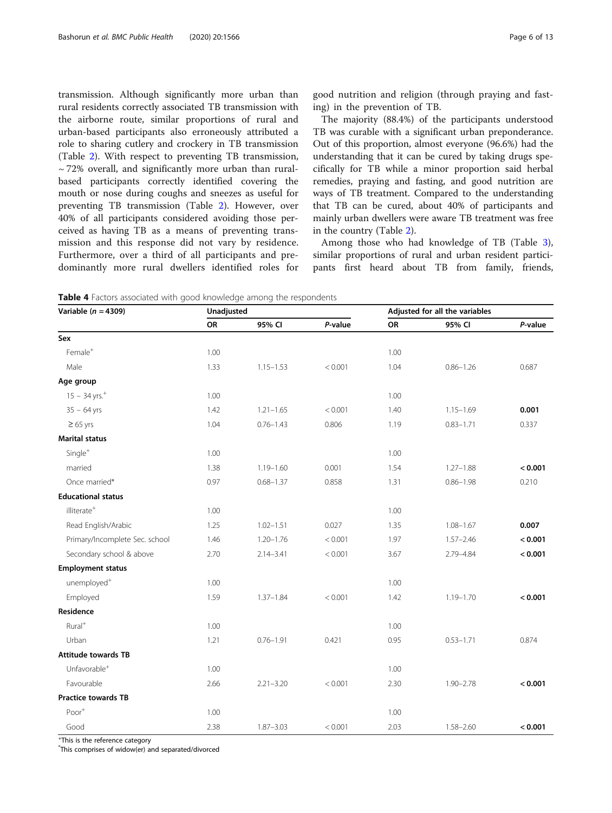<span id="page-5-0"></span>transmission. Although significantly more urban than rural residents correctly associated TB transmission with the airborne route, similar proportions of rural and urban-based participants also erroneously attributed a role to sharing cutlery and crockery in TB transmission (Table [2\)](#page-3-0). With respect to preventing TB transmission,  $\sim$  72% overall, and significantly more urban than ruralbased participants correctly identified covering the mouth or nose during coughs and sneezes as useful for preventing TB transmission (Table [2\)](#page-3-0). However, over 40% of all participants considered avoiding those perceived as having TB as a means of preventing transmission and this response did not vary by residence. Furthermore, over a third of all participants and predominantly more rural dwellers identified roles for good nutrition and religion (through praying and fasting) in the prevention of TB.

The majority (88.4%) of the participants understood TB was curable with a significant urban preponderance. Out of this proportion, almost everyone (96.6%) had the understanding that it can be cured by taking drugs specifically for TB while a minor proportion said herbal remedies, praying and fasting, and good nutrition are ways of TB treatment. Compared to the understanding that TB can be cured, about 40% of participants and mainly urban dwellers were aware TB treatment was free in the country (Table [2\)](#page-3-0).

Among those who had knowledge of TB (Table [3](#page-4-0)), similar proportions of rural and urban resident participants first heard about TB from family, friends,

Table 4 Factors associated with good knowledge among the respondents

| Variable ( $n = 4309$ )        | <b>Unadjusted</b> |               |         | Adjusted for all the variables |               |         |
|--------------------------------|-------------------|---------------|---------|--------------------------------|---------------|---------|
|                                | OR                | 95% CI        | P-value | <b>OR</b>                      | 95% CI        | P-value |
| Sex                            |                   |               |         |                                |               |         |
| Female <sup>+</sup>            | 1.00              |               |         | 1.00                           |               |         |
| Male                           | 1.33              | $1.15 - 1.53$ | < 0.001 | 1.04                           | $0.86 - 1.26$ | 0.687   |
| Age group                      |                   |               |         |                                |               |         |
| $15 - 34$ yrs. <sup>+</sup>    | 1.00              |               |         | 1.00                           |               |         |
| $35 - 64$ yrs                  | 1.42              | $1.21 - 1.65$ | < 0.001 | 1.40                           | $1.15 - 1.69$ | 0.001   |
| $\geq 65$ yrs                  | 1.04              | $0.76 - 1.43$ | 0.806   | 1.19                           | $0.83 - 1.71$ | 0.337   |
| <b>Marital status</b>          |                   |               |         |                                |               |         |
| Single <sup>+</sup>            | 1.00              |               |         | 1.00                           |               |         |
| married                        | 1.38              | $1.19 - 1.60$ | 0.001   | 1.54                           | $1.27 - 1.88$ | < 0.001 |
| Once married*                  | 0.97              | $0.68 - 1.37$ | 0.858   | 1.31                           | $0.86 - 1.98$ | 0.210   |
| <b>Educational status</b>      |                   |               |         |                                |               |         |
| $\mathsf{illiterate}^+$        | 1.00              |               |         | 1.00                           |               |         |
| Read English/Arabic            | 1.25              | $1.02 - 1.51$ | 0.027   | 1.35                           | $1.08 - 1.67$ | 0.007   |
| Primary/Incomplete Sec. school | 1.46              | $1.20 - 1.76$ | < 0.001 | 1.97                           | $1.57 - 2.46$ | < 0.001 |
| Secondary school & above       | 2.70              | $2.14 - 3.41$ | < 0.001 | 3.67                           | 2.79-4.84     | < 0.001 |
| <b>Employment status</b>       |                   |               |         |                                |               |         |
| unemployed <sup>+</sup>        | 1.00              |               |         | 1.00                           |               |         |
| Employed                       | 1.59              | $1.37 - 1.84$ | < 0.001 | 1.42                           | $1.19 - 1.70$ | < 0.001 |
| Residence                      |                   |               |         |                                |               |         |
| $Rural+$                       | 1.00              |               |         | 1.00                           |               |         |
| Urban                          | 1.21              | $0.76 - 1.91$ | 0.421   | 0.95                           | $0.53 - 1.71$ | 0.874   |
| <b>Attitude towards TB</b>     |                   |               |         |                                |               |         |
| Unfavorable <sup>+</sup>       | 1.00              |               |         | 1.00                           |               |         |
| Favourable                     | 2.66              | $2.21 - 3.20$ | < 0.001 | 2.30                           | $1.90 - 2.78$ | < 0.001 |
| <b>Practice towards TB</b>     |                   |               |         |                                |               |         |
| $Poor+$                        | 1.00              |               |         | 1.00                           |               |         |
| Good                           | 2.38              | $1.87 - 3.03$ | < 0.001 | 2.03                           | $1.58 - 2.60$ | < 0.001 |

+ This is the reference category

\* This comprises of widow(er) and separated/divorced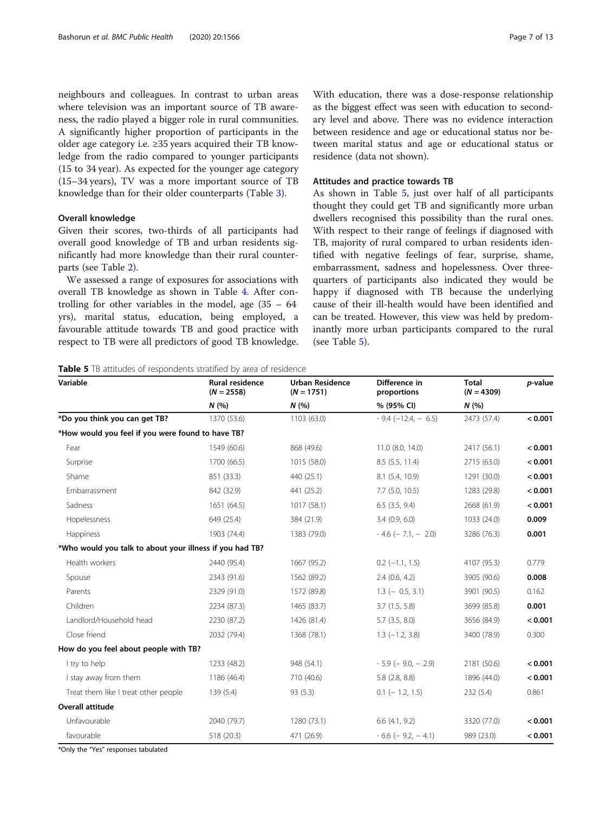neighbours and colleagues. In contrast to urban areas where television was an important source of TB awareness, the radio played a bigger role in rural communities. A significantly higher proportion of participants in the older age category i.e. ≥35 years acquired their TB knowledge from the radio compared to younger participants (15 to 34 year). As expected for the younger age category (15–34 years), TV was a more important source of TB knowledge than for their older counterparts (Table [3\)](#page-4-0).

#### Overall knowledge

Given their scores, two-thirds of all participants had overall good knowledge of TB and urban residents significantly had more knowledge than their rural counterparts (see Table [2](#page-3-0)).

We assessed a range of exposures for associations with overall TB knowledge as shown in Table [4](#page-5-0). After controlling for other variables in the model, age  $(35 - 64)$ yrs), marital status, education, being employed, a favourable attitude towards TB and good practice with respect to TB were all predictors of good TB knowledge.

With education, there was a dose-response relationship as the biggest effect was seen with education to secondary level and above. There was no evidence interaction between residence and age or educational status nor between marital status and age or educational status or residence (data not shown).

#### Attitudes and practice towards TB

As shown in Table 5, just over half of all participants thought they could get TB and significantly more urban dwellers recognised this possibility than the rural ones. With respect to their range of feelings if diagnosed with TB, majority of rural compared to urban residents identified with negative feelings of fear, surprise, shame, embarrassment, sadness and hopelessness. Over threequarters of participants also indicated they would be happy if diagnosed with TB because the underlying cause of their ill-health would have been identified and can be treated. However, this view was held by predominantly more urban participants compared to the rural (see Table 5).

Table 5 TB attitudes of respondents stratified by area of residence

| Variable                                                 | <b>Rural residence</b><br>$(N = 2558)$ | <b>Urban Residence</b><br>$(N = 1751)$ | Difference in<br>proportions | <b>Total</b><br>$(N = 4309)$ | p-value |  |
|----------------------------------------------------------|----------------------------------------|----------------------------------------|------------------------------|------------------------------|---------|--|
|                                                          | N(%                                    | N(%                                    | % (95% CI)                   | N(%                          |         |  |
| *Do you think you can get TB?                            | 1370 (53.6)                            | 1103 (63.0)                            | $-9.4$ (-12.4, - 6.5)        | 2473 (57.4)                  | < 0.001 |  |
| *How would you feel if you were found to have TB?        |                                        |                                        |                              |                              |         |  |
| Fear                                                     | 1549 (60.6)                            | 868 (49.6)                             | 11.0 (8.0, 14.0)             | 2417 (56.1)                  | < 0.001 |  |
| Surprise                                                 | 1700 (66.5)                            | 1015 (58.0)                            | $8.5$ (5.5, 11.4)            | 2715 (63.0)                  | < 0.001 |  |
| Shame                                                    | 851 (33.3)                             | 440 (25.1)                             | 8.1(5.4, 10.9)               | 1291 (30.0)                  | < 0.001 |  |
| Embarrassment                                            | 842 (32.9)                             | 441 (25.2)                             | 7.7(5.0, 10.5)               | 1283 (29.8)                  | < 0.001 |  |
| Sadness                                                  | 1651(64.5)                             | 1017 (58.1)                            | $6.5$ $(3.5, 9.4)$           | 2668 (61.9)                  | < 0.001 |  |
| Hopelessness                                             | 649 (25.4)                             | 384 (21.9)                             | 3.4(0.9, 6.0)                | 1033 (24.0)                  | 0.009   |  |
| Happiness                                                | 1903 (74.4)                            | 1383 (79.0)                            | $-4.6$ ( $-7.1$ , $-2.0$ )   | 3286 (76.3)                  | 0.001   |  |
| *Who would you talk to about your illness if you had TB? |                                        |                                        |                              |                              |         |  |
| Health workers                                           | 2440 (95.4)                            | 1667 (95.2)                            | $0.2$ ( $-1.1$ , $1.5$ )     | 4107 (95.3)                  | 0.779   |  |
| Spouse                                                   | 2343 (91.6)                            | 1562 (89.2)                            | 2.4(0.6, 4.2)                | 3905 (90.6)                  | 0.008   |  |
| Parents                                                  | 2329 (91.0)                            | 1572 (89.8)                            | $1.3$ (- 0.5, 3.1)           | 3901 (90.5)                  | 0.162   |  |
| Children                                                 | 2234 (87.3)                            | 1465 (83.7)                            | 3.7(1.5, 5.8)                | 3699 (85.8)                  | 0.001   |  |
| Landlord/Household head                                  | 2230 (87.2)                            | 1426 (81.4)                            | $5.7$ $(3.5, 8.0)$           | 3656 (84.9)                  | < 0.001 |  |
| Close friend                                             | 2032 (79.4)                            | 1368 (78.1)                            | $1.3$ ( $-1.2$ , $3.8$ )     | 3400 (78.9)                  | 0.300   |  |
| How do you feel about people with TB?                    |                                        |                                        |                              |                              |         |  |
| I try to help                                            | 1233 (48.2)                            | 948 (54.1)                             | $-5.9$ ( $-9.0$ , $-2.9$ )   | 2181 (50.6)                  | < 0.001 |  |
| I stay away from them                                    | 1186 (46.4)                            | 710 (40.6)                             | $5.8$ (2.8, 8.8)             | 1896 (44.0)                  | < 0.001 |  |
| Treat them like I treat other people                     | 139 (5.4)                              | 93 (5.3)                               | $0.1$ ( $-1.2$ , 1.5)        | 232 (5.4)                    | 0.861   |  |
| <b>Overall attitude</b>                                  |                                        |                                        |                              |                              |         |  |
| Unfavourable                                             | 2040 (79.7)                            | 1280 (73.1)                            | $6.6$ $(4.1, 9.2)$           | 3320 (77.0)                  | < 0.001 |  |
| favourable                                               | 518 (20.3)                             | 471 (26.9)                             | $-6.6$ ( $-9.2$ , $-4.1$ )   | 989 (23.0)                   | < 0.001 |  |

\*Only the "Yes" responses tabulated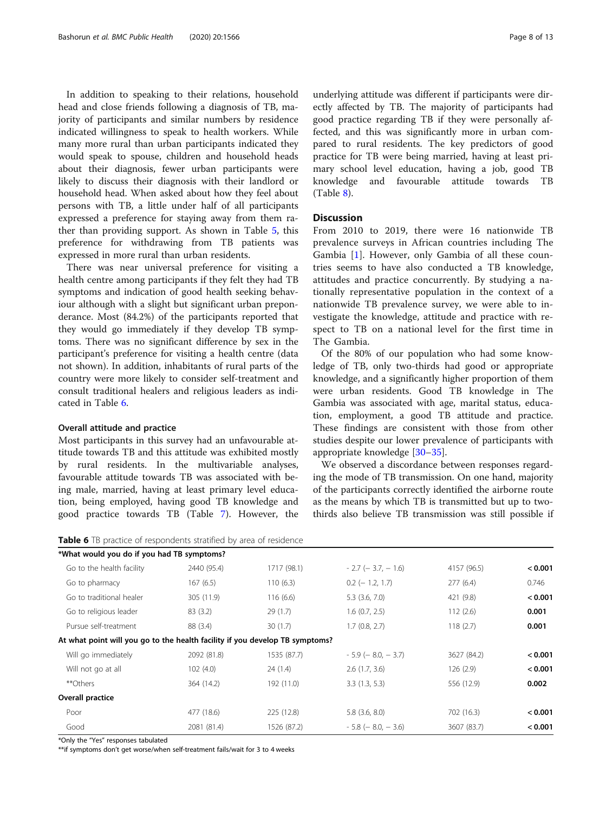In addition to speaking to their relations, household head and close friends following a diagnosis of TB, majority of participants and similar numbers by residence indicated willingness to speak to health workers. While many more rural than urban participants indicated they would speak to spouse, children and household heads about their diagnosis, fewer urban participants were likely to discuss their diagnosis with their landlord or household head. When asked about how they feel about persons with TB, a little under half of all participants expressed a preference for staying away from them rather than providing support. As shown in Table 5, this preference for withdrawing from TB patients was expressed in more rural than urban residents.

There was near universal preference for visiting a health centre among participants if they felt they had TB symptoms and indication of good health seeking behaviour although with a slight but significant urban preponderance. Most (84.2%) of the participants reported that they would go immediately if they develop TB symptoms. There was no significant difference by sex in the participant's preference for visiting a health centre (data not shown). In addition, inhabitants of rural parts of the country were more likely to consider self-treatment and consult traditional healers and religious leaders as indicated in Table 6.

#### Overall attitude and practice

Most participants in this survey had an unfavourable attitude towards TB and this attitude was exhibited mostly by rural residents. In the multivariable analyses, favourable attitude towards TB was associated with being male, married, having at least primary level education, being employed, having good TB knowledge and good practice towards TB (Table [7\)](#page-8-0). However, the underlying attitude was different if participants were directly affected by TB. The majority of participants had good practice regarding TB if they were personally affected, and this was significantly more in urban compared to rural residents. The key predictors of good practice for TB were being married, having at least primary school level education, having a job, good TB knowledge and favourable attitude towards TB (Table [8\)](#page-9-0).

#### **Discussion**

From 2010 to 2019, there were 16 nationwide TB prevalence surveys in African countries including The Gambia [[1\]](#page-11-0). However, only Gambia of all these countries seems to have also conducted a TB knowledge, attitudes and practice concurrently. By studying a nationally representative population in the context of a nationwide TB prevalence survey, we were able to investigate the knowledge, attitude and practice with respect to TB on a national level for the first time in The Gambia.

Of the 80% of our population who had some knowledge of TB, only two-thirds had good or appropriate knowledge, and a significantly higher proportion of them were urban residents. Good TB knowledge in The Gambia was associated with age, marital status, education, employment, a good TB attitude and practice. These findings are consistent with those from other studies despite our lower prevalence of participants with appropriate knowledge [\[30](#page-11-0)–[35\]](#page-11-0).

We observed a discordance between responses regarding the mode of TB transmission. On one hand, majority of the participants correctly identified the airborne route as the means by which TB is transmitted but up to twothirds also believe TB transmission was still possible if

|  |  |  |  |  |  |  |  | <b>Table 6</b> TB practice of respondents stratified by area of residence |
|--|--|--|--|--|--|--|--|---------------------------------------------------------------------------|
|--|--|--|--|--|--|--|--|---------------------------------------------------------------------------|

| *What would you do if you had TB symptoms?                                   |             |             |                            |             |         |
|------------------------------------------------------------------------------|-------------|-------------|----------------------------|-------------|---------|
| Go to the health facility                                                    | 2440 (95.4) | 1717 (98.1) | $-2.7$ ( $-3.7$ , $-1.6$ ) | 4157 (96.5) | < 0.001 |
| Go to pharmacy                                                               | 167(6.5)    | 110(6.3)    | $0.2$ ( $-1.2$ , 1.7)      | 277(6.4)    | 0.746   |
| Go to traditional healer                                                     | 305 (11.9)  | 116(6.6)    | $5.3$ $(3.6, 7.0)$         | 421 (9.8)   | < 0.001 |
| Go to religious leader                                                       | 83 (3.2)    | 29(1.7)     | 1.6(0.7, 2.5)              | 112(2.6)    | 0.001   |
| Pursue self-treatment                                                        | 88 (3.4)    | 30(1.7)     | 1.7(0.8, 2.7)              | 118(2.7)    | 0.001   |
| At what point will you go to the health facility if you develop TB symptoms? |             |             |                            |             |         |
| Will go immediately                                                          | 2092 (81.8) | 1535 (87.7) | $-5.9$ ( $-8.0, -3.7$ )    | 3627 (84.2) | < 0.001 |
| Will not go at all                                                           | 102(4.0)    | 24 (1.4)    | 2.6(1.7, 3.6)              | 126(2.9)    | < 0.001 |
| **Others                                                                     | 364 (14.2)  | 192 (11.0)  | 3.3(1.3, 5.3)              | 556 (12.9)  | 0.002   |
| Overall practice                                                             |             |             |                            |             |         |
| Poor                                                                         | 477 (18.6)  | 225 (12.8)  | $5.8$ $(3.6, 8.0)$         | 702 (16.3)  | < 0.001 |
| Good                                                                         | 2081 (81.4) | 1526 (87.2) | $-5.8$ ( $-8.0, -3.6$ )    | 3607 (83.7) | < 0.001 |

\*Only the "Yes" responses tabulated

\*\*if symptoms don't get worse/when self-treatment fails/wait for 3 to 4 weeks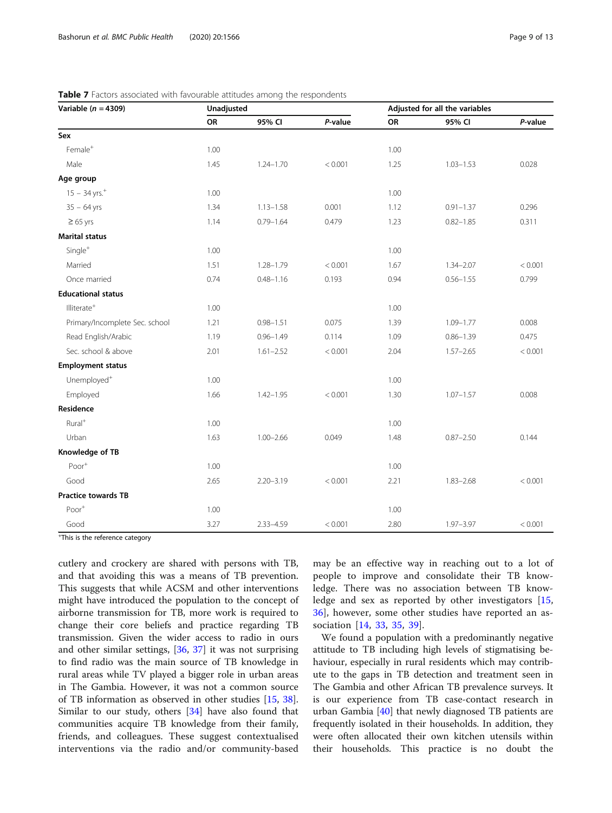| Variable ( $n = 4309$ )        | Unadjusted |               |         | Adjusted for all the variables |               |         |  |
|--------------------------------|------------|---------------|---------|--------------------------------|---------------|---------|--|
|                                | OR         | 95% CI        | P-value | OR                             | 95% CI        | P-value |  |
| Sex                            |            |               |         |                                |               |         |  |
| Female <sup>+</sup>            | 1.00       |               |         | 1.00                           |               |         |  |
| Male                           | 1.45       | $1.24 - 1.70$ | < 0.001 | 1.25                           | $1.03 - 1.53$ | 0.028   |  |
| Age group                      |            |               |         |                                |               |         |  |
| $15 - 34$ yrs. <sup>+</sup>    | 1.00       |               |         | 1.00                           |               |         |  |
| $35 - 64$ yrs                  | 1.34       | $1.13 - 1.58$ | 0.001   | 1.12                           | $0.91 - 1.37$ | 0.296   |  |
| $\geq 65$ yrs                  | 1.14       | $0.79 - 1.64$ | 0.479   | 1.23                           | $0.82 - 1.85$ | 0.311   |  |
| <b>Marital status</b>          |            |               |         |                                |               |         |  |
| Single <sup>+</sup>            | 1.00       |               |         | 1.00                           |               |         |  |
| Married                        | 1.51       | $1.28 - 1.79$ | < 0.001 | 1.67                           | $1.34 - 2.07$ | < 0.001 |  |
| Once married                   | 0.74       | $0.48 - 1.16$ | 0.193   | 0.94                           | $0.56 - 1.55$ | 0.799   |  |
| <b>Educational status</b>      |            |               |         |                                |               |         |  |
| $llliterate+$                  | 1.00       |               |         | 1.00                           |               |         |  |
| Primary/Incomplete Sec. school | 1.21       | $0.98 - 1.51$ | 0.075   | 1.39                           | $1.09 - 1.77$ | 0.008   |  |
| Read English/Arabic            | 1.19       | $0.96 - 1.49$ | 0.114   | 1.09                           | $0.86 - 1.39$ | 0.475   |  |
| Sec. school & above            | 2.01       | $1.61 - 2.52$ | < 0.001 | 2.04                           | $1.57 - 2.65$ | < 0.001 |  |
| <b>Employment status</b>       |            |               |         |                                |               |         |  |
| Unemployed <sup>+</sup>        | 1.00       |               |         | 1.00                           |               |         |  |
| Employed                       | 1.66       | $1.42 - 1.95$ | < 0.001 | 1.30                           | $1.07 - 1.57$ | 0.008   |  |
| Residence                      |            |               |         |                                |               |         |  |
| Rural <sup>+</sup>             | 1.00       |               |         | 1.00                           |               |         |  |
| Urban                          | 1.63       | $1.00 - 2.66$ | 0.049   | 1.48                           | $0.87 - 2.50$ | 0.144   |  |
| Knowledge of TB                |            |               |         |                                |               |         |  |
| $\mathsf{Poor}^+$              | 1.00       |               |         | 1.00                           |               |         |  |
| Good                           | 2.65       | $2.20 - 3.19$ | < 0.001 | 2.21                           | $1.83 - 2.68$ | < 0.001 |  |
| <b>Practice towards TB</b>     |            |               |         |                                |               |         |  |
| $Poor+$                        | 1.00       |               |         | 1.00                           |               |         |  |
| Good                           | 3.27       | $2.33 - 4.59$ | < 0.001 | 2.80                           | $1.97 - 3.97$ | < 0.001 |  |

<span id="page-8-0"></span>Table 7 Factors associated with favourable attitudes among the respondents

+ This is the reference category

cutlery and crockery are shared with persons with TB, and that avoiding this was a means of TB prevention. This suggests that while ACSM and other interventions might have introduced the population to the concept of airborne transmission for TB, more work is required to change their core beliefs and practice regarding TB transmission. Given the wider access to radio in ours and other similar settings, [\[36,](#page-11-0) [37\]](#page-11-0) it was not surprising to find radio was the main source of TB knowledge in rural areas while TV played a bigger role in urban areas in The Gambia. However, it was not a common source of TB information as observed in other studies [[15,](#page-11-0) [38](#page-11-0)]. Similar to our study, others [\[34](#page-11-0)] have also found that communities acquire TB knowledge from their family, friends, and colleagues. These suggest contextualised interventions via the radio and/or community-based

may be an effective way in reaching out to a lot of people to improve and consolidate their TB knowledge. There was no association between TB knowledge and sex as reported by other investigators [\[15](#page-11-0), [36\]](#page-11-0), however, some other studies have reported an association [\[14](#page-11-0), [33](#page-11-0), [35,](#page-11-0) [39\]](#page-11-0).

We found a population with a predominantly negative attitude to TB including high levels of stigmatising behaviour, especially in rural residents which may contribute to the gaps in TB detection and treatment seen in The Gambia and other African TB prevalence surveys. It is our experience from TB case-contact research in urban Gambia [[40\]](#page-11-0) that newly diagnosed TB patients are frequently isolated in their households. In addition, they were often allocated their own kitchen utensils within their households. This practice is no doubt the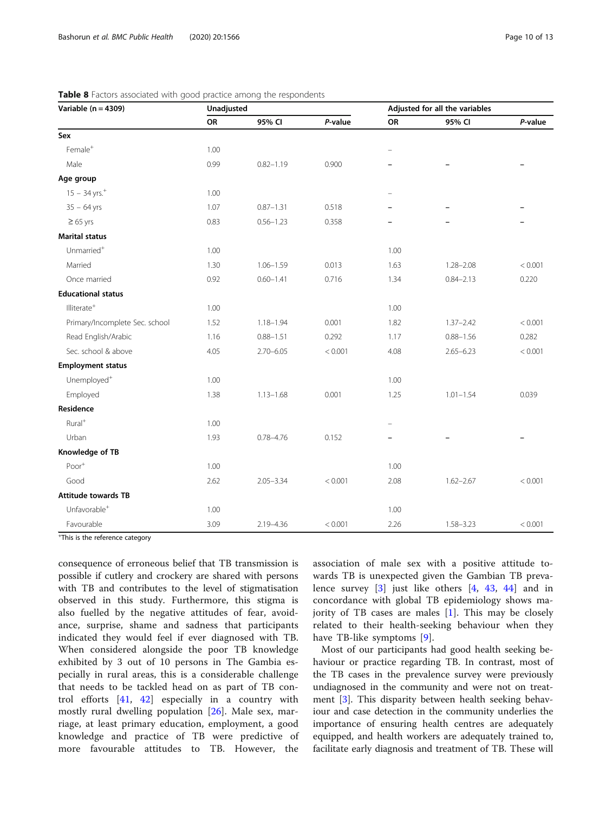| Variable ( $n = 4309$ )        | Unadjusted |               |         | Adjusted for all the variables |               |         |  |
|--------------------------------|------------|---------------|---------|--------------------------------|---------------|---------|--|
|                                | OR         | 95% CI        | P-value | OR                             | 95% CI        | P-value |  |
| Sex                            |            |               |         |                                |               |         |  |
| Female <sup>+</sup>            | 1.00       |               |         | -                              |               |         |  |
| Male                           | 0.99       | $0.82 - 1.19$ | 0.900   |                                |               |         |  |
| Age group                      |            |               |         |                                |               |         |  |
| $15 - 34$ yrs. <sup>+</sup>    | 1.00       |               |         | $\qquad \qquad -$              |               |         |  |
| $35 - 64$ yrs                  | 1.07       | $0.87 - 1.31$ | 0.518   | $\qquad \qquad -$              |               |         |  |
| $\geq 65$ yrs                  | 0.83       | $0.56 - 1.23$ | 0.358   |                                |               |         |  |
| <b>Marital status</b>          |            |               |         |                                |               |         |  |
| Unmarried <sup>+</sup>         | 1.00       |               |         | 1.00                           |               |         |  |
| Married                        | 1.30       | $1.06 - 1.59$ | 0.013   | 1.63                           | $1.28 - 2.08$ | < 0.001 |  |
| Once married                   | 0.92       | $0.60 - 1.41$ | 0.716   | 1.34                           | $0.84 - 2.13$ | 0.220   |  |
| <b>Educational status</b>      |            |               |         |                                |               |         |  |
| Illiterate <sup>+</sup>        | 1.00       |               |         | 1.00                           |               |         |  |
| Primary/Incomplete Sec. school | 1.52       | $1.18 - 1.94$ | 0.001   | 1.82                           | $1.37 - 2.42$ | < 0.001 |  |
| Read English/Arabic            | 1.16       | $0.88 - 1.51$ | 0.292   | 1.17                           | $0.88 - 1.56$ | 0.282   |  |
| Sec. school & above            | 4.05       | $2.70 - 6.05$ | < 0.001 | 4.08                           | $2.65 - 6.23$ | < 0.001 |  |
| <b>Employment status</b>       |            |               |         |                                |               |         |  |
| Unemployed <sup>+</sup>        | 1.00       |               |         | 1.00                           |               |         |  |
| Employed                       | 1.38       | $1.13 - 1.68$ | 0.001   | 1.25                           | $1.01 - 1.54$ | 0.039   |  |
| Residence                      |            |               |         |                                |               |         |  |
| $Rural+$                       | 1.00       |               |         | $\qquad \qquad \longleftarrow$ |               |         |  |
| Urban                          | 1.93       | $0.78 - 4.76$ | 0.152   | $\qquad \qquad -$              |               |         |  |
| Knowledge of TB                |            |               |         |                                |               |         |  |
| $Poor+$                        | 1.00       |               |         | 1.00                           |               |         |  |
| Good                           | 2.62       | $2.05 - 3.34$ | < 0.001 | 2.08                           | $1.62 - 2.67$ | < 0.001 |  |
| <b>Attitude towards TB</b>     |            |               |         |                                |               |         |  |
| Unfavorable <sup>+</sup>       | 1.00       |               |         | 1.00                           |               |         |  |
| Favourable                     | 3.09       | $2.19 - 4.36$ | < 0.001 | 2.26                           | $1.58 - 3.23$ | < 0.001 |  |

<span id="page-9-0"></span>

|  | Table 8 Factors associated with good practice among the respondents |  |  |  |  |
|--|---------------------------------------------------------------------|--|--|--|--|
|  |                                                                     |  |  |  |  |

+ This is the reference category

consequence of erroneous belief that TB transmission is possible if cutlery and crockery are shared with persons with TB and contributes to the level of stigmatisation observed in this study. Furthermore, this stigma is also fuelled by the negative attitudes of fear, avoidance, surprise, shame and sadness that participants indicated they would feel if ever diagnosed with TB. When considered alongside the poor TB knowledge exhibited by 3 out of 10 persons in The Gambia especially in rural areas, this is a considerable challenge that needs to be tackled head on as part of TB control efforts [[41,](#page-11-0) [42\]](#page-11-0) especially in a country with mostly rural dwelling population [\[26](#page-11-0)]. Male sex, marriage, at least primary education, employment, a good knowledge and practice of TB were predictive of more favourable attitudes to TB. However, the

association of male sex with a positive attitude towards TB is unexpected given the Gambian TB prevalence survey [[3\]](#page-11-0) just like others [[4,](#page-11-0) [43](#page-11-0), [44](#page-11-0)] and in concordance with global TB epidemiology shows majority of TB cases are males [\[1](#page-11-0)]. This may be closely related to their health-seeking behaviour when they have TB-like symptoms [\[9](#page-11-0)].

Most of our participants had good health seeking behaviour or practice regarding TB. In contrast, most of the TB cases in the prevalence survey were previously undiagnosed in the community and were not on treatment [\[3](#page-11-0)]. This disparity between health seeking behaviour and case detection in the community underlies the importance of ensuring health centres are adequately equipped, and health workers are adequately trained to, facilitate early diagnosis and treatment of TB. These will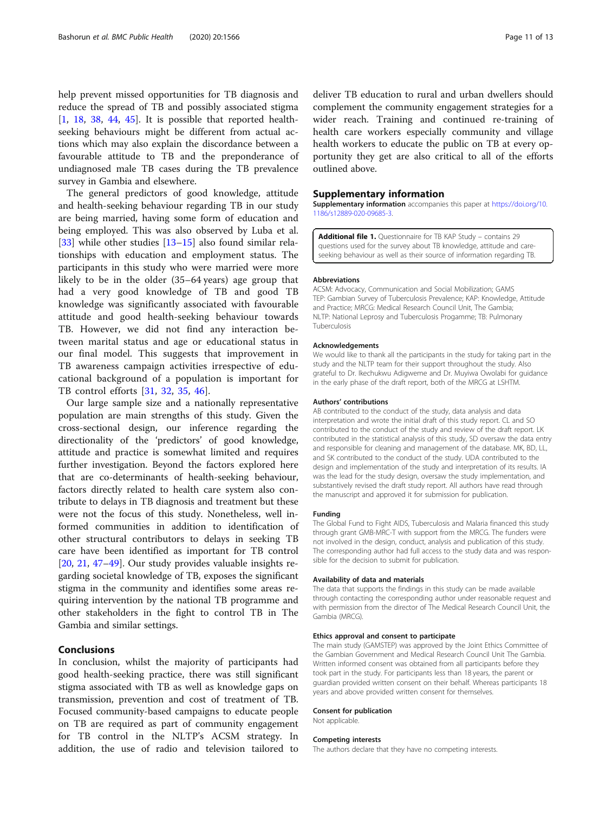<span id="page-10-0"></span>help prevent missed opportunities for TB diagnosis and reduce the spread of TB and possibly associated stigma  $[1, 18, 38, 44, 45]$  $[1, 18, 38, 44, 45]$  $[1, 18, 38, 44, 45]$  $[1, 18, 38, 44, 45]$  $[1, 18, 38, 44, 45]$  $[1, 18, 38, 44, 45]$  $[1, 18, 38, 44, 45]$  $[1, 18, 38, 44, 45]$  $[1, 18, 38, 44, 45]$  $[1, 18, 38, 44, 45]$ . It is possible that reported healthseeking behaviours might be different from actual actions which may also explain the discordance between a favourable attitude to TB and the preponderance of undiagnosed male TB cases during the TB prevalence survey in Gambia and elsewhere.

The general predictors of good knowledge, attitude and health-seeking behaviour regarding TB in our study are being married, having some form of education and being employed. This was also observed by Luba et al. [[33\]](#page-11-0) while other studies  $[13-15]$  $[13-15]$  $[13-15]$  $[13-15]$  $[13-15]$  also found similar relationships with education and employment status. The participants in this study who were married were more likely to be in the older (35–64 years) age group that had a very good knowledge of TB and good TB knowledge was significantly associated with favourable attitude and good health-seeking behaviour towards TB. However, we did not find any interaction between marital status and age or educational status in our final model. This suggests that improvement in TB awareness campaign activities irrespective of educational background of a population is important for TB control efforts [[31,](#page-11-0) [32](#page-11-0), [35](#page-11-0), [46](#page-12-0)].

Our large sample size and a nationally representative population are main strengths of this study. Given the cross-sectional design, our inference regarding the directionality of the 'predictors' of good knowledge, attitude and practice is somewhat limited and requires further investigation. Beyond the factors explored here that are co-determinants of health-seeking behaviour, factors directly related to health care system also contribute to delays in TB diagnosis and treatment but these were not the focus of this study. Nonetheless, well informed communities in addition to identification of other structural contributors to delays in seeking TB care have been identified as important for TB control [[20,](#page-11-0) [21,](#page-11-0) [47](#page-12-0)–[49](#page-12-0)]. Our study provides valuable insights regarding societal knowledge of TB, exposes the significant stigma in the community and identifies some areas requiring intervention by the national TB programme and other stakeholders in the fight to control TB in The Gambia and similar settings.

#### Conclusions

In conclusion, whilst the majority of participants had good health-seeking practice, there was still significant stigma associated with TB as well as knowledge gaps on transmission, prevention and cost of treatment of TB. Focused community-based campaigns to educate people on TB are required as part of community engagement for TB control in the NLTP's ACSM strategy. In addition, the use of radio and television tailored to deliver TB education to rural and urban dwellers should complement the community engagement strategies for a wider reach. Training and continued re-training of health care workers especially community and village health workers to educate the public on TB at every opportunity they get are also critical to all of the efforts outlined above.

#### Supplementary information

Supplementary information accompanies this paper at [https://doi.org/10.](https://doi.org/10.1186/s12889-020-09685-3) [1186/s12889-020-09685-3](https://doi.org/10.1186/s12889-020-09685-3).

Additional file 1. Questionnaire for TB KAP Study – contains 29 questions used for the survey about TB knowledge, attitude and careseeking behaviour as well as their source of information regarding TB.

#### Abbreviations

ACSM: Advocacy, Communication and Social Mobilization; GAMS TEP: Gambian Survey of Tuberculosis Prevalence; KAP: Knowledge, Attitude and Practice; MRCG: Medical Research Council Unit, The Gambia; NLTP: National Leprosy and Tuberculosis Progamme; TB: Pulmonary Tuberculosis

#### Acknowledgements

We would like to thank all the participants in the study for taking part in the study and the NLTP team for their support throughout the study. Also grateful to Dr. Ikechukwu Adigweme and Dr. Muyiwa Owolabi for guidance in the early phase of the draft report, both of the MRCG at LSHTM.

#### Authors' contributions

AB contributed to the conduct of the study, data analysis and data interpretation and wrote the initial draft of this study report. CL and SO contributed to the conduct of the study and review of the draft report. LK contributed in the statistical analysis of this study, SD oversaw the data entry and responsible for cleaning and management of the database. MK, BD, LL, and SK contributed to the conduct of the study. UDA contributed to the design and implementation of the study and interpretation of its results. IA was the lead for the study design, oversaw the study implementation, and substantively revised the draft study report. All authors have read through the manuscript and approved it for submission for publication.

#### Funding

The Global Fund to Fight AIDS, Tuberculosis and Malaria financed this study through grant GMB-MRC-T with support from the MRCG. The funders were not involved in the design, conduct, analysis and publication of this study. The corresponding author had full access to the study data and was responsible for the decision to submit for publication.

#### Availability of data and materials

The data that supports the findings in this study can be made available through contacting the corresponding author under reasonable request and with permission from the director of The Medical Research Council Unit, the Gambia (MRCG).

#### Ethics approval and consent to participate

The main study (GAMSTEP) was approved by the Joint Ethics Committee of the Gambian Government and Medical Research Council Unit The Gambia. Written informed consent was obtained from all participants before they took part in the study. For participants less than 18 years, the parent or guardian provided written consent on their behalf. Whereas participants 18 years and above provided written consent for themselves.

#### Consent for publication

Not applicable.

#### Competing interests

The authors declare that they have no competing interests.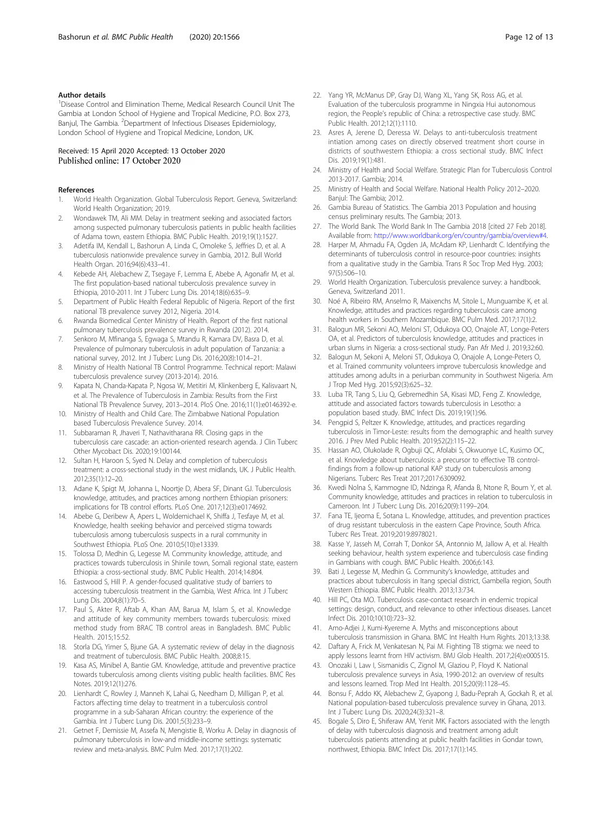#### <span id="page-11-0"></span>Author details

<sup>1</sup>Disease Control and Elimination Theme, Medical Research Council Unit The Gambia at London School of Hygiene and Tropical Medicine, P.O. Box 273, Banjul, The Gambia. <sup>2</sup>Department of Infectious Diseases Epidemiology, London School of Hygiene and Tropical Medicine, London, UK.

#### Received: 15 April 2020 Accepted: 13 October 2020 Published online: 17 October 2020

#### References

- 1. World Health Organization. Global Tuberculosis Report. Geneva, Switzerland: World Health Organization; 2019.
- 2. Wondawek TM, Ali MM. Delay in treatment seeking and associated factors among suspected pulmonary tuberculosis patients in public health facilities of Adama town, eastern Ethiopia. BMC Public Health. 2019;19(1):1527.
- Adetifa IM, Kendall L, Bashorun A, Linda C, Omoleke S, Jeffries D, et al. A tuberculosis nationwide prevalence survey in Gambia, 2012. Bull World Health Organ. 2016;94(6):433–41.
- 4. Kebede AH, Alebachew Z, Tsegaye F, Lemma E, Abebe A, Agonafir M, et al. The first population-based national tuberculosis prevalence survey in Ethiopia, 2010-2011. Int J Tuberc Lung Dis. 2014;18(6):635–9.
- 5. Department of Public Health Federal Republic of Nigeria. Report of the first national TB prevalence survey 2012, Nigeria. 2014.
- 6. Rwanda Biomedical Center Ministry of Health. Report of the first national pulmonary tuberculosis prevalence survey in Rwanda (2012). 2014.
- 7. Senkoro M, Mfinanga S, Egwaga S, Mtandu R, Kamara DV, Basra D, et al. Prevalence of pulmonary tuberculosis in adult population of Tanzania: a national survey, 2012. Int J Tuberc Lung Dis. 2016;20(8):1014–21.
- 8. Ministry of Health National TB Control Programme. Technical report: Malawi tuberculosis prevalence survey (2013-2014). 2016.
- 9. Kapata N, Chanda-Kapata P, Ngosa W, Metitiri M, Klinkenberg E, Kalisvaart N, et al. The Prevalence of Tuberculosis in Zambia: Results from the First National TB Prevalence Survey, 2013–2014. PloS One. 2016;11(1):e0146392-e.
- 10. Ministry of Health and Child Care. The Zimbabwe National Population based Tuberculosis Prevalence Survey. 2014.
- 11. Subbaraman R, Jhaveri T, Nathavitharana RR. Closing gaps in the tuberculosis care cascade: an action-oriented research agenda. J Clin Tuberc Other Mycobact Dis. 2020;19:100144.
- 12. Sultan H, Haroon S, Syed N. Delay and completion of tuberculosis treatment: a cross-sectional study in the west midlands, UK. J Public Health. 2012;35(1):12–20.
- 13. Adane K, Spigt M, Johanna L, Noortje D, Abera SF, Dinant GJ. Tuberculosis knowledge, attitudes, and practices among northern Ethiopian prisoners: implications for TB control efforts. PLoS One. 2017;12(3):e0174692.
- 14. Abebe G, Deribew A, Apers L, Woldemichael K, Shiffa J, Tesfaye M, et al. Knowledge, health seeking behavior and perceived stigma towards tuberculosis among tuberculosis suspects in a rural community in Southwest Ethiopia. PLoS One. 2010;5(10):e13339.
- 15. Tolossa D, Medhin G, Legesse M. Community knowledge, attitude, and practices towards tuberculosis in Shinile town, Somali regional state, eastern Ethiopia: a cross-sectional study. BMC Public Health. 2014;14:804.
- 16. Eastwood S, Hill P. A gender-focused qualitative study of barriers to accessing tuberculosis treatment in the Gambia, West Africa. Int J Tuberc Lung Dis. 2004;8(1):70–5.
- 17. Paul S, Akter R, Aftab A, Khan AM, Barua M, Islam S, et al. Knowledge and attitude of key community members towards tuberculosis: mixed method study from BRAC TB control areas in Bangladesh. BMC Public Health. 2015;15:52.
- 18. Storla DG, Yimer S, Bjune GA. A systematic review of delay in the diagnosis and treatment of tuberculosis. BMC Public Health. 2008;8:15.
- 19. Kasa AS, Minibel A, Bantie GM. Knowledge, attitude and preventive practice towards tuberculosis among clients visiting public health facilities. BMC Res Notes. 2019;12(1):276.
- 20. Lienhardt C, Rowley J, Manneh K, Lahai G, Needham D, Milligan P, et al. Factors affecting time delay to treatment in a tuberculosis control programme in a sub-Saharan African country: the experience of the Gambia. Int J Tuberc Lung Dis. 2001;5(3):233–9.
- 21. Getnet F, Demissie M, Assefa N, Mengistie B, Worku A. Delay in diagnosis of pulmonary tuberculosis in low-and middle-income settings: systematic review and meta-analysis. BMC Pulm Med. 2017;17(1):202.
- 22. Yang YR, McManus DP, Gray DJ, Wang XL, Yang SK, Ross AG, et al. Evaluation of the tuberculosis programme in Ningxia Hui autonomous region, the People's republic of China: a retrospective case study. BMC Public Health. 2012;12(1):1110.
- 23. Asres A, Jerene D, Deressa W. Delays to anti-tuberculosis treatment intiation among cases on directly observed treatment short course in districts of southwestern Ethiopia: a cross sectional study. BMC Infect Dis. 2019;19(1):481.
- 24. Ministry of Health and Social Welfare. Strategic Plan for Tuberculosis Control 2013-2017. Gambia; 2014.
- 25. Ministry of Health and Social Welfare. National Health Policy 2012–2020. Banjul: The Gambia; 2012.
- 26. Gambia Bureau of Statistics. The Gambia 2013 Population and housing census preliminary results. The Gambia; 2013.
- 27. The World Bank. The World Bank In The Gambia 2018 [cited 27 Feb 2018]. Available from: <http://www.worldbank.org/en/country/gambia/overview#4>.
- 28. Harper M, Ahmadu FA, Ogden JA, McAdam KP, Lienhardt C. Identifying the determinants of tuberculosis control in resource-poor countries: insights from a qualitative study in the Gambia. Trans R Soc Trop Med Hyg. 2003; 97(5):506–10.
- 29. World Health Organization. Tuberculosis prevalence survey: a handbook. Geneva, Switzerland 2011.
- 30. Noé A, Ribeiro RM, Anselmo R, Maixenchs M, Sitole L, Munguambe K, et al. Knowledge, attitudes and practices regarding tuberculosis care among health workers in Southern Mozambique. BMC Pulm Med. 2017;17(1):2.
- 31. Balogun MR, Sekoni AO, Meloni ST, Odukoya OO, Onajole AT, Longe-Peters OA, et al. Predictors of tuberculosis knowledge, attitudes and practices in urban slums in Nigeria: a cross-sectional study. Pan Afr Med J. 2019;32:60.
- 32. Balogun M, Sekoni A, Meloni ST, Odukoya O, Onajole A, Longe-Peters O, et al. Trained community volunteers improve tuberculosis knowledge and attitudes among adults in a periurban community in Southwest Nigeria. Am J Trop Med Hyg. 2015;92(3):625–32.
- 33. Luba TR, Tang S, Liu Q, Gebremedhin SA, Kisasi MD, Feng Z. Knowledge, attitude and associated factors towards tuberculosis in Lesotho: a population based study. BMC Infect Dis. 2019;19(1):96.
- 34. Pengpid S, Peltzer K. Knowledge, attitudes, and practices regarding tuberculosis in Timor-Leste: results from the demographic and health survey 2016. J Prev Med Public Health. 2019;52(2):115–22.
- 35. Hassan AO, Olukolade R, Ogbuji QC, Afolabi S, Okwuonye LC, Kusimo OC, et al. Knowledge about tuberculosis: a precursor to effective TB controlfindings from a follow-up national KAP study on tuberculosis among Nigerians. Tuberc Res Treat 2017;2017:6309092.
- Kwedi Nolna S, Kammogne ID, Ndzinga R, Afanda B, Ntone R, Boum Y, et al. Community knowledge, attitudes and practices in relation to tuberculosis in Cameroon. Int J Tuberc Lung Dis. 2016;20(9):1199–204.
- 37. Fana TE, Ijeoma E, Sotana L. Knowledge, attitudes, and prevention practices of drug resistant tuberculosis in the eastern Cape Province, South Africa. Tuberc Res Treat. 2019;2019:8978021.
- 38. Kasse Y, Jasseh M, Corrah T, Donkor SA, Antonnio M, Jallow A, et al. Health seeking behaviour, health system experience and tuberculosis case finding in Gambians with cough. BMC Public Health. 2006;6:143.
- 39. Bati J, Legesse M, Medhin G. Community's knowledge, attitudes and practices about tuberculosis in Itang special district, Gambella region, South Western Ethiopia. BMC Public Health. 2013;13:734.
- 40. Hill PC, Ota MO. Tuberculosis case-contact research in endemic tropical settings: design, conduct, and relevance to other infectious diseases. Lancet Infect Dis. 2010;10(10):723–32.
- 41. Amo-Adjei J, Kumi-Kyereme A. Myths and misconceptions about tuberculosis transmission in Ghana. BMC Int Health Hum Rights. 2013;13:38.
- 42. Daftary A, Frick M, Venkatesan N, Pai M. Fighting TB stigma: we need to apply lessons learnt from HIV activism. BMJ Glob Health. 2017;2(4):e000515.
- 43. Onozaki I, Law I, Sismanidis C, Zignol M, Glaziou P, Floyd K. National tuberculosis prevalence surveys in Asia, 1990-2012: an overview of results and lessons learned. Trop Med Int Health. 2015;20(9):1128–45.
- Bonsu F, Addo KK, Alebachew Z, Gyapong J, Badu-Peprah A, Gockah R, et al. National population-based tuberculosis prevalence survey in Ghana, 2013. Int J Tuberc Lung Dis. 2020;24(3):321–8.
- 45. Bogale S, Diro E, Shiferaw AM, Yenit MK. Factors associated with the length of delay with tuberculosis diagnosis and treatment among adult tuberculosis patients attending at public health facilities in Gondar town, northwest, Ethiopia. BMC Infect Dis. 2017;17(1):145.